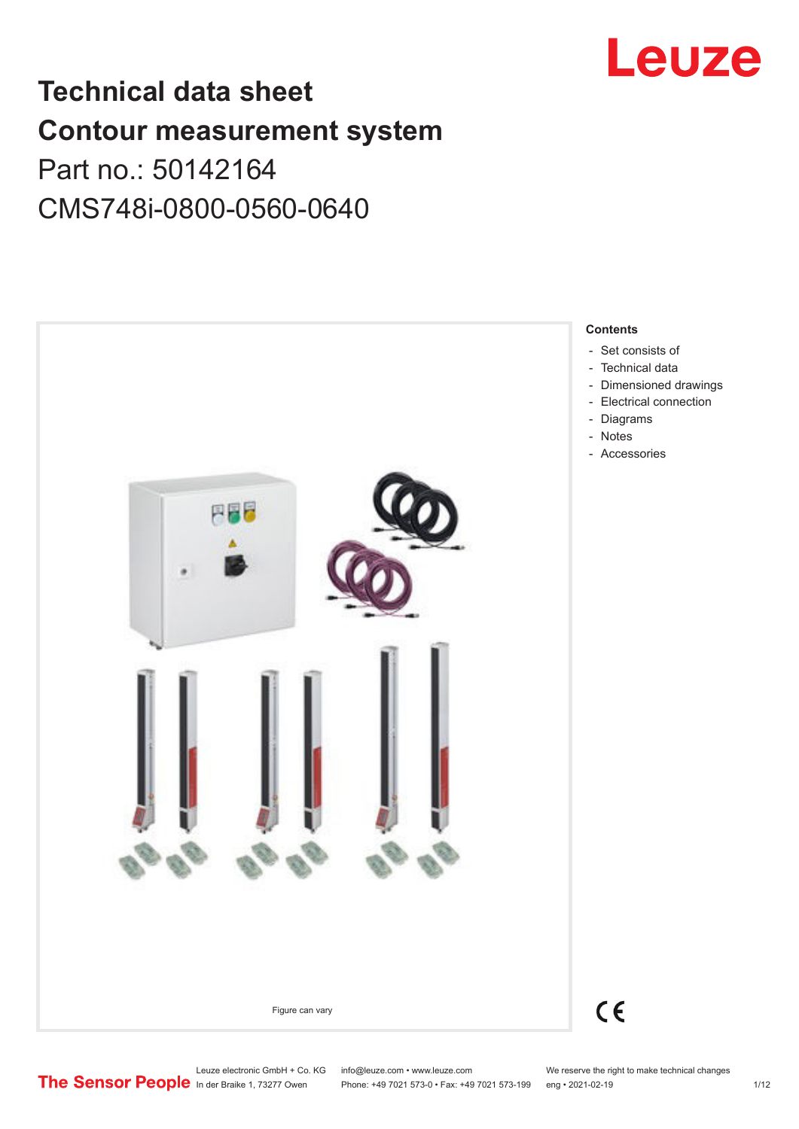

# **Technical data sheet Contour measurement system** Part no.: 50142164 CMS748i-0800-0560-0640



Leuze electronic GmbH + Co. KG info@leuze.com • www.leuze.com We reserve the right to make technical changes<br> **The Sensor People** in der Braike 1, 73277 Owen Phone: +49 7021 573-0 • Fax: +49 7021 573-199 eng • 2021-02-19

Phone: +49 7021 573-0 • Fax: +49 7021 573-199 eng • 2021-02-19 1/12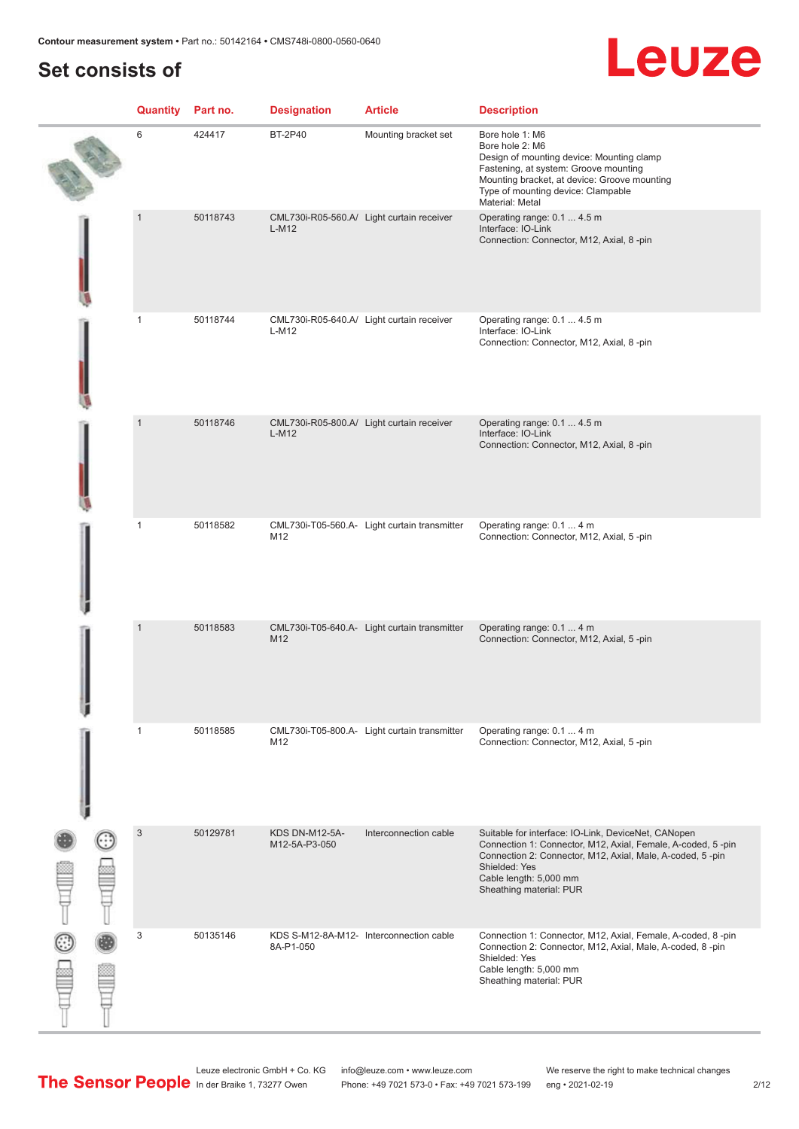# **Set consists of**

|        | <b>Quantity</b> Part no. |          | <b>Designation</b>              | <b>Article</b>                               | <b>Description</b>                                                                                                                                                                                                                                    |
|--------|--------------------------|----------|---------------------------------|----------------------------------------------|-------------------------------------------------------------------------------------------------------------------------------------------------------------------------------------------------------------------------------------------------------|
|        | 6                        | 424417   | <b>BT-2P40</b>                  | Mounting bracket set                         | Bore hole 1: M6<br>Bore hole 2: M6<br>Design of mounting device: Mounting clamp<br>Fastening, at system: Groove mounting<br>Mounting bracket, at device: Groove mounting<br>Type of mounting device: Clampable<br>Material: Metal                     |
|        | $\mathbf{1}$             | 50118743 | $L-M12$                         | CML730i-R05-560.A/ Light curtain receiver    | Operating range: 0.1  4.5 m<br>Interface: IO-Link<br>Connection: Connector, M12, Axial, 8-pin                                                                                                                                                         |
|        | 1                        | 50118744 | L-M12                           | CML730i-R05-640.A/ Light curtain receiver    | Operating range: 0.1  4.5 m<br>Interface: IO-Link<br>Connection: Connector, M12, Axial, 8-pin                                                                                                                                                         |
|        | $\mathbf{1}$             | 50118746 | $L-M12$                         | CML730i-R05-800.A/ Light curtain receiver    | Operating range: 0.1  4.5 m<br>Interface: IO-Link<br>Connection: Connector, M12, Axial, 8-pin                                                                                                                                                         |
|        | $\mathbf{1}$             | 50118582 | M12                             | CML730i-T05-560.A- Light curtain transmitter | Operating range: 0.1  4 m<br>Connection: Connector, M12, Axial, 5-pin                                                                                                                                                                                 |
|        | $\mathbf{1}$             | 50118583 | M12                             | CML730i-T05-640.A- Light curtain transmitter | Operating range: 0.1  4 m<br>Connection: Connector, M12, Axial, 5-pin                                                                                                                                                                                 |
|        | $\mathbf{1}$             | 50118585 | M12                             | CML730i-T05-800.A- Light curtain transmitter | Operating range: 0.1  4 m<br>Connection: Connector, M12, Axial, 5-pin                                                                                                                                                                                 |
| a<br>a | $\sqrt{3}$               | 50129781 | KDS DN-M12-5A-<br>M12-5A-P3-050 | Interconnection cable                        | Suitable for interface: IO-Link, DeviceNet, CANopen<br>Connection 1: Connector, M12, Axial, Female, A-coded, 5-pin<br>Connection 2: Connector, M12, Axial, Male, A-coded, 5-pin<br>Shielded: Yes<br>Cable length: 5,000 mm<br>Sheathing material: PUR |
|        | 3                        | 50135146 | 8A-P1-050                       | KDS S-M12-8A-M12- Interconnection cable      | Connection 1: Connector, M12, Axial, Female, A-coded, 8-pin<br>Connection 2: Connector, M12, Axial, Male, A-coded, 8-pin<br>Shielded: Yes<br>Cable length: 5,000 mm<br>Sheathing material: PUR                                                        |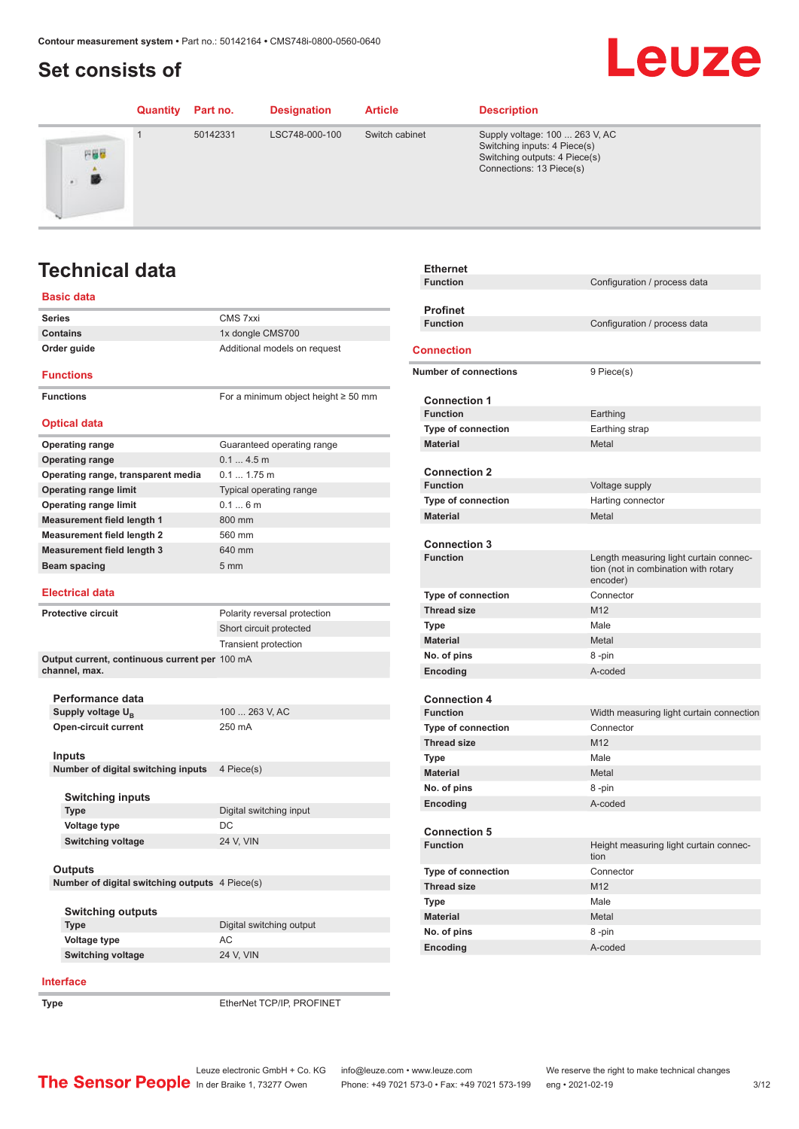# <span id="page-2-0"></span>**Set consists of**

### Leuze **Quantity Part no. Designation Article Description** 1 50142331 LSC748-000-100 Switch cabinet Supply voltage: 100 ... 263 V, AC Switching inputs: 4 Piece(s) 円器器 Switching outputs: 4 Piece(s) Connections: 13 Piece(s) 勝

# **Technical data**

### **Basic data**

| <b>Series</b>                                  | CMS 7xxi                                 |
|------------------------------------------------|------------------------------------------|
| <b>Contains</b>                                | 1x dongle CMS700                         |
| Order guide                                    | Additional models on request             |
| <b>Functions</b>                               |                                          |
| <b>Functions</b>                               | For a minimum object height $\geq 50$ mm |
| <b>Optical data</b>                            |                                          |
| <b>Operating range</b>                         | Guaranteed operating range               |
| <b>Operating range</b>                         | 0.14.5m                                  |
| Operating range, transparent media             | 0.1 1.75 m                               |
| <b>Operating range limit</b>                   | Typical operating range                  |
| <b>Operating range limit</b>                   | 0.16m                                    |
| <b>Measurement field length 1</b>              | 800 mm                                   |
| <b>Measurement field length 2</b>              | 560 mm                                   |
| <b>Measurement field length 3</b>              | 640 mm                                   |
| Beam spacing                                   | 5 <sub>mm</sub>                          |
|                                                |                                          |
| <b>Electrical data</b>                         |                                          |
| <b>Protective circuit</b>                      | Polarity reversal protection             |
|                                                | Short circuit protected                  |
|                                                | <b>Transient protection</b>              |
| Output current, continuous current per 100 mA  |                                          |
| channel, max.                                  |                                          |
|                                                |                                          |
| Performance data                               |                                          |
| Supply voltage U <sub>B</sub>                  | 100  263 V, AC                           |
| Open-circuit current                           | 250 mA                                   |
|                                                |                                          |
| Inputs<br>Number of digital switching inputs   | 4 Piece(s)                               |
|                                                |                                          |
| <b>Switching inputs</b>                        |                                          |
| <b>Type</b>                                    | Digital switching input                  |
| Voltage type                                   | DC                                       |
| <b>Switching voltage</b>                       | 24 V, VIN                                |
|                                                |                                          |
| Outputs                                        |                                          |
| Number of digital switching outputs 4 Piece(s) |                                          |
|                                                |                                          |
| <b>Switching outputs</b>                       |                                          |
| <b>Type</b>                                    | Digital switching output                 |
| <b>Voltage type</b>                            | AC                                       |
| <b>Switching voltage</b>                       | 24 V, VIN                                |
|                                                |                                          |

### **Interface**

**Type** EtherNet TCP/IP, PROFINET

| <b>Ethernet</b>              |                                                                                            |
|------------------------------|--------------------------------------------------------------------------------------------|
| <b>Function</b>              | Configuration / process data                                                               |
|                              |                                                                                            |
| <b>Profinet</b>              |                                                                                            |
| <b>Function</b>              | Configuration / process data                                                               |
| <b>Connection</b>            |                                                                                            |
| <b>Number of connections</b> | 9 Piece(s)                                                                                 |
| <b>Connection 1</b>          |                                                                                            |
| <b>Function</b>              | Earthing                                                                                   |
| Type of connection           | Earthing strap                                                                             |
| <b>Material</b>              | Metal                                                                                      |
|                              |                                                                                            |
| <b>Connection 2</b>          |                                                                                            |
| <b>Function</b>              | Voltage supply                                                                             |
| Type of connection           | Harting connector                                                                          |
| <b>Material</b>              | Metal                                                                                      |
| <b>Connection 3</b>          |                                                                                            |
| <b>Function</b>              | Length measuring light curtain connec-<br>tion (not in combination with rotary<br>encoder) |
| <b>Type of connection</b>    | Connector                                                                                  |
| <b>Thread size</b>           | M <sub>12</sub>                                                                            |
| Type                         | Male                                                                                       |
| <b>Material</b>              | Metal                                                                                      |
| No. of pins                  | 8-pin                                                                                      |
| Encoding                     | A-coded                                                                                    |
| <b>Connection 4</b>          |                                                                                            |
| <b>Function</b>              | Width measuring light curtain connection                                                   |
| Type of connection           | Connector                                                                                  |
| <b>Thread size</b>           | M12                                                                                        |
| <b>Type</b>                  | Male                                                                                       |
| <b>Material</b>              | Metal                                                                                      |
| No. of pins                  | 8-pin                                                                                      |
| Encoding                     | A-coded                                                                                    |
| <b>Connection 5</b>          |                                                                                            |
| <b>Function</b>              | Height measuring light curtain connec-<br>tion                                             |
| <b>Type of connection</b>    | Connector                                                                                  |
| <b>Thread size</b>           | M12                                                                                        |
| <b>Type</b>                  | Male                                                                                       |
| <b>Material</b>              | Metal                                                                                      |
| No. of pins                  | 8-pin                                                                                      |
| Encoding                     | A-coded                                                                                    |
|                              |                                                                                            |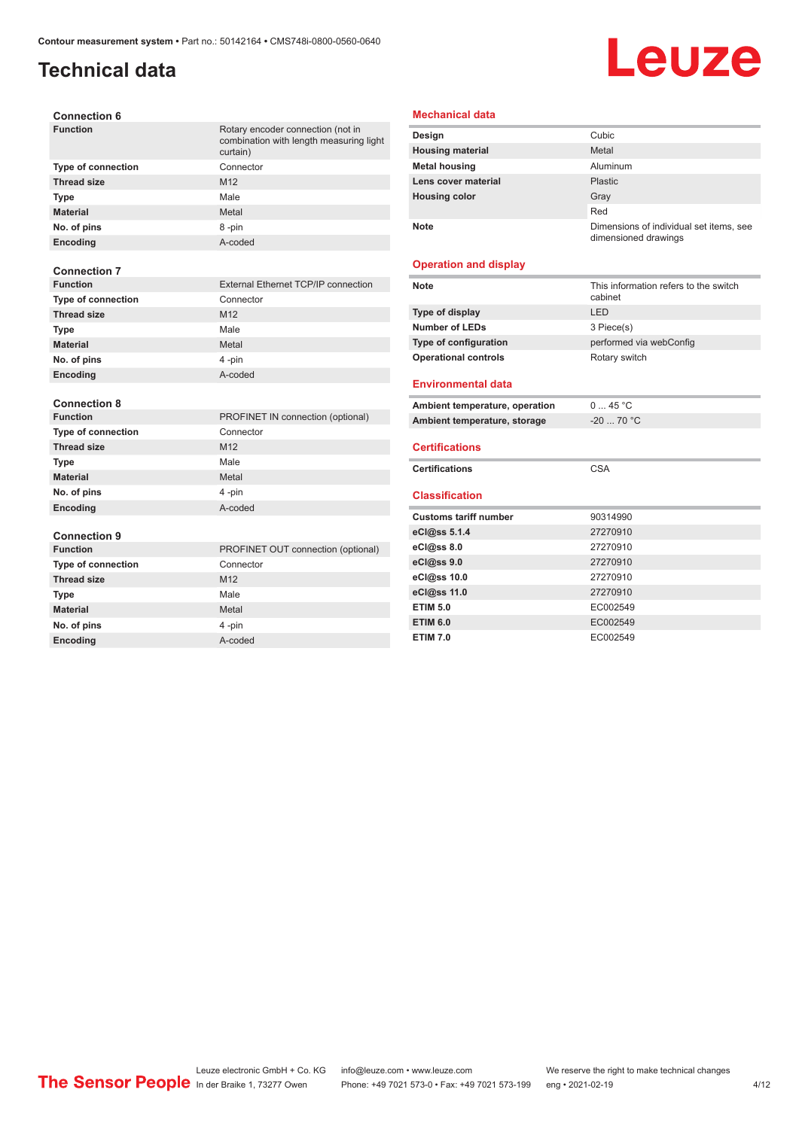## **Technical data**

# Leuze

| <b>Connection 6</b> |  |
|---------------------|--|
|---------------------|--|

| <b>Function</b>           | Rotary encoder connection (not in<br>combination with length measuring light<br>curtain) |
|---------------------------|------------------------------------------------------------------------------------------|
| <b>Type of connection</b> | Connector                                                                                |
| <b>Thread size</b>        | M <sub>12</sub>                                                                          |
| Type                      | Male                                                                                     |
| <b>Material</b>           | Metal                                                                                    |
| No. of pins               | 8-pin                                                                                    |
| Encoding                  | A-coded                                                                                  |
| <b>Connection 7</b>       |                                                                                          |
| <b>Function</b>           | <b>External Ethernet TCP/IP connection</b>                                               |
| Type of connection        | Connector                                                                                |
| <b>Thread size</b>        | M <sub>12</sub>                                                                          |
| Type                      | Male                                                                                     |
| <b>Material</b>           | Metal                                                                                    |
| No. of pins               | 4-pin                                                                                    |
| Encoding                  | A-coded                                                                                  |
|                           |                                                                                          |
| <b>Connection 8</b>       |                                                                                          |
| <b>Function</b>           | PROFINET IN connection (optional)                                                        |
| <b>Type of connection</b> | Connector                                                                                |
| <b>Thread size</b>        | M12                                                                                      |
| <b>Type</b>               | Male                                                                                     |
| <b>Material</b>           | Metal                                                                                    |
| No. of pins               | 4-pin                                                                                    |
| <b>Encoding</b>           | A-coded                                                                                  |
| <b>Connection 9</b>       |                                                                                          |
| <b>Function</b>           | PROFINET OUT connection (optional)                                                       |
| <b>Type of connection</b> | Connector                                                                                |
| <b>Thread size</b>        | M12                                                                                      |
| <b>Type</b>               | Male                                                                                     |
| <b>Material</b>           | Metal                                                                                    |
| No. of pins               | 4-pin                                                                                    |

**Encoding** A-coded

### **Mechanical data**

| Design                  | Cubic                                                           |
|-------------------------|-----------------------------------------------------------------|
| <b>Housing material</b> | Metal                                                           |
| <b>Metal housing</b>    | Aluminum                                                        |
| Lens cover material     | Plastic                                                         |
| <b>Housing color</b>    | Gray                                                            |
|                         | Red                                                             |
| <b>Note</b>             | Dimensions of individual set items, see<br>dimensioned drawings |

### **Operation and display**

| <b>Note</b>                    | This information refers to the switch<br>cabinet |
|--------------------------------|--------------------------------------------------|
| Type of display                | LED                                              |
| <b>Number of LEDs</b>          | 3 Piece(s)                                       |
| Type of configuration          | performed via webConfig                          |
| <b>Operational controls</b>    | Rotary switch                                    |
| <b>Environmental data</b>      |                                                  |
| Ambient temperature, operation | 045 °C                                           |
| Ambient temperature, storage   | $-20$ 70 °C                                      |
| <b>Certifications</b>          |                                                  |
| <b>Certifications</b>          | <b>CSA</b>                                       |
| <b>Classification</b>          |                                                  |
| <b>Customs tariff number</b>   | 90314990                                         |
| eCl@ss 5.1.4                   | 27270910                                         |
| eCl@ss 8.0                     | 27270910                                         |
| eCl@ss 9.0                     | 27270910                                         |
| eCl@ss 10.0                    | 27270910                                         |
| eCl@ss 11.0                    | 27270910                                         |
| <b>ETIM 5.0</b>                | EC002549                                         |
|                                |                                                  |
| <b>ETIM 6.0</b>                | EC002549                                         |

Leuze electronic GmbH + Co. KG info@leuze.com • www.leuze.com We reserve the right to make technical changes In der Braike 1, 73277 Owen Phone: +49 7021 573-0 • Fax: +49 7021 573-199 eng • 2021-02-19 4 /12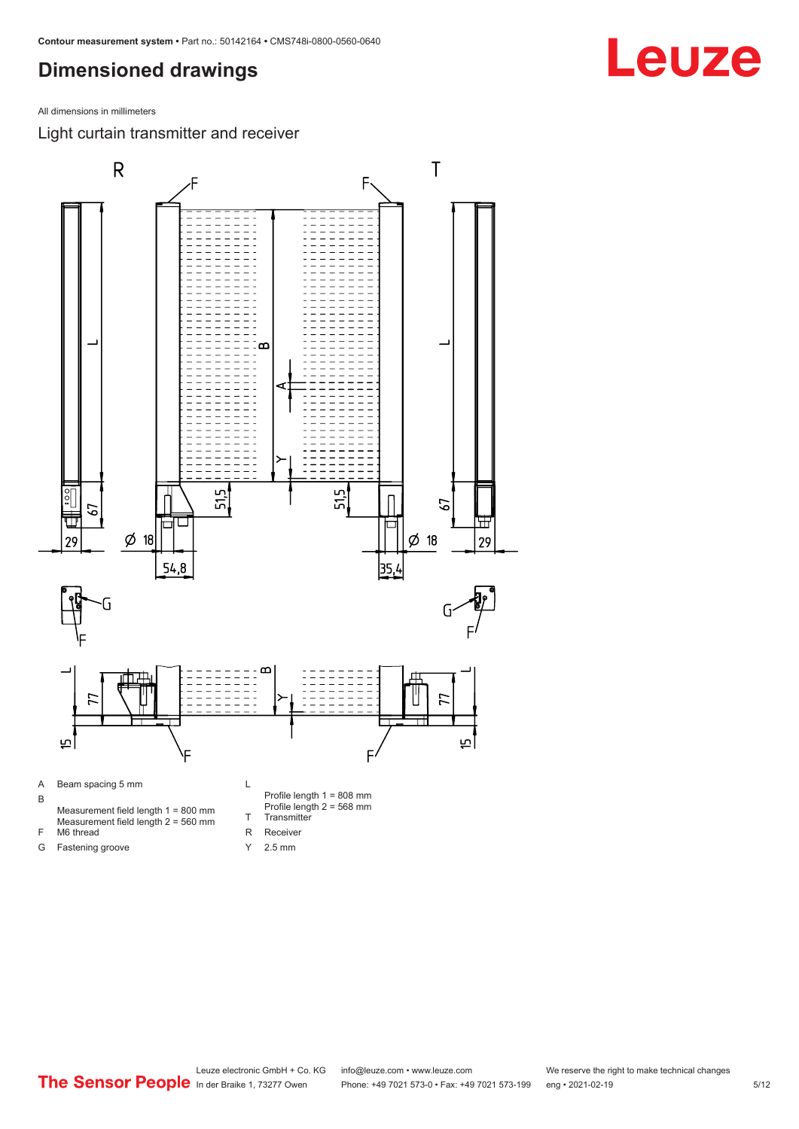## <span id="page-4-0"></span>**Dimensioned drawings**

All dimensions in millimeters

Light curtain transmitter and receiver

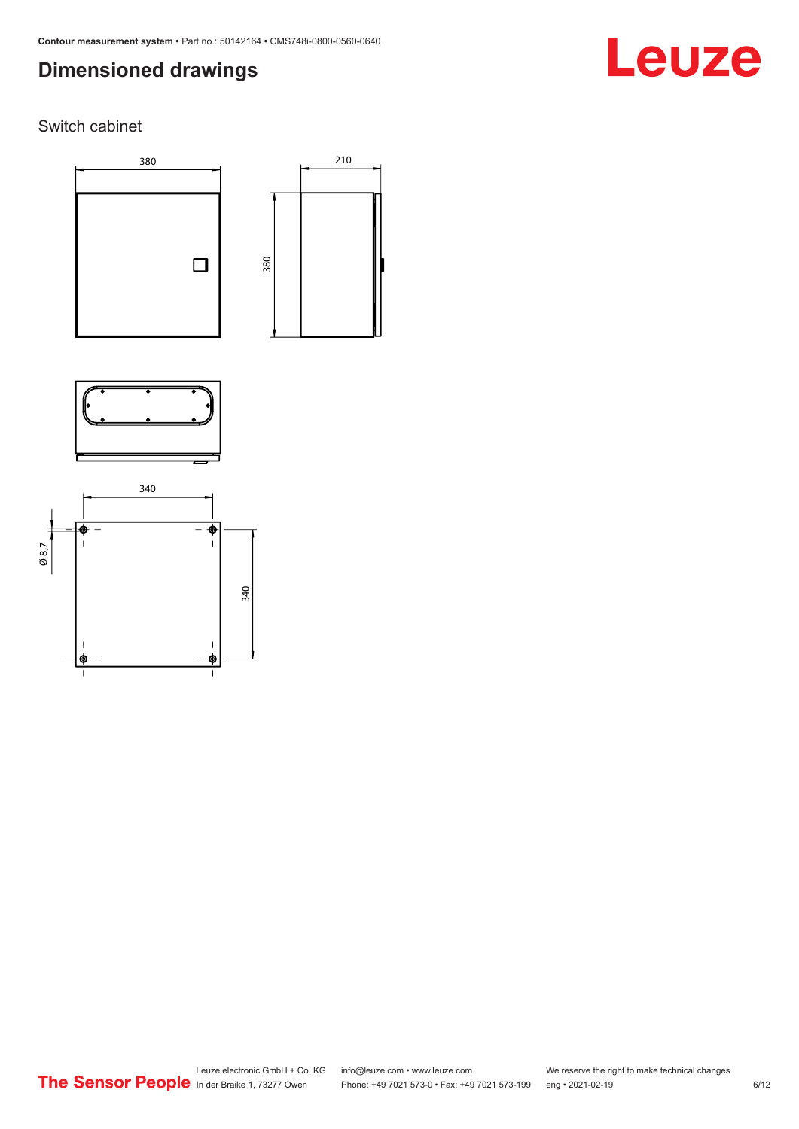# **Dimensioned drawings**

# Leuze

Switch cabinet





210



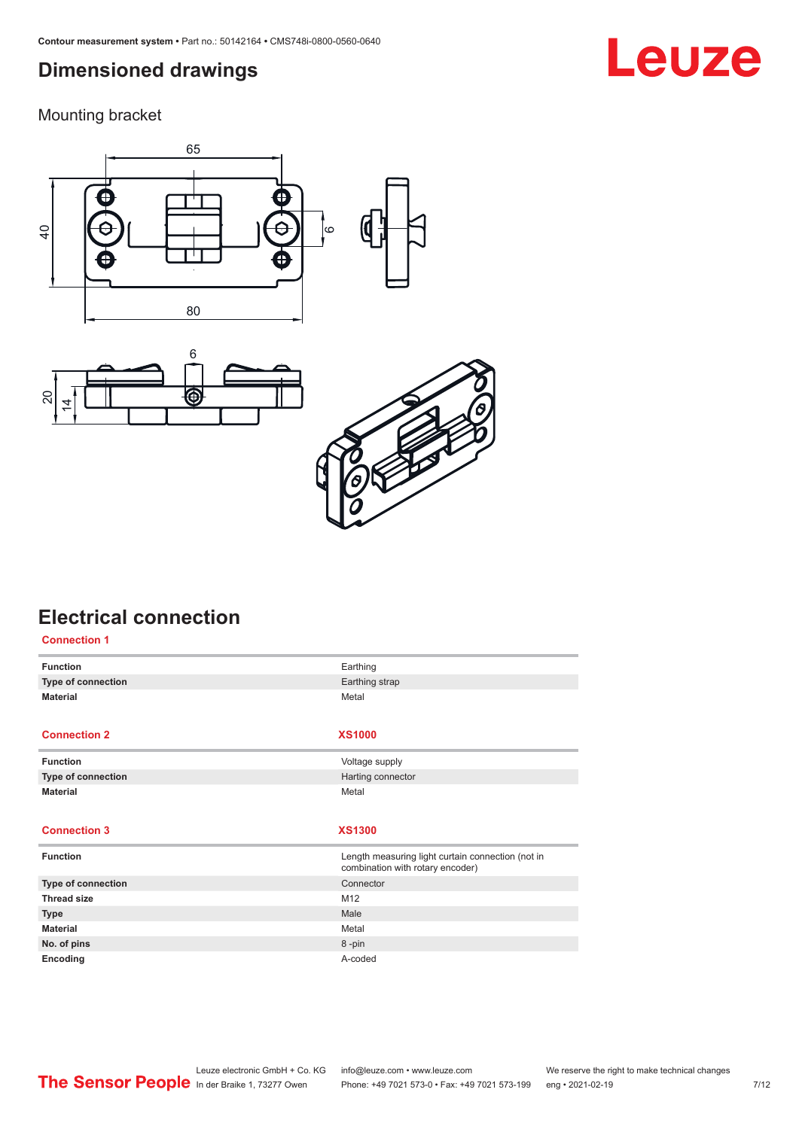## <span id="page-6-0"></span>**Dimensioned drawings**

Mounting bracket







# **Electrical connection**

| <b>Connection 1</b> |                                                                                       |
|---------------------|---------------------------------------------------------------------------------------|
| <b>Function</b>     | Earthing                                                                              |
| Type of connection  | Earthing strap                                                                        |
| <b>Material</b>     | Metal                                                                                 |
|                     |                                                                                       |
| <b>Connection 2</b> | <b>XS1000</b>                                                                         |
| <b>Function</b>     | Voltage supply                                                                        |
| Type of connection  | Harting connector                                                                     |
| <b>Material</b>     | Metal                                                                                 |
|                     |                                                                                       |
|                     |                                                                                       |
| <b>Connection 3</b> | <b>XS1300</b>                                                                         |
|                     |                                                                                       |
| <b>Function</b>     | Length measuring light curtain connection (not in<br>combination with rotary encoder) |
| Type of connection  | Connector                                                                             |
| <b>Thread size</b>  | M12                                                                                   |
| <b>Type</b>         | Male                                                                                  |
| <b>Material</b>     | Metal                                                                                 |
| No. of pins         | 8-pin                                                                                 |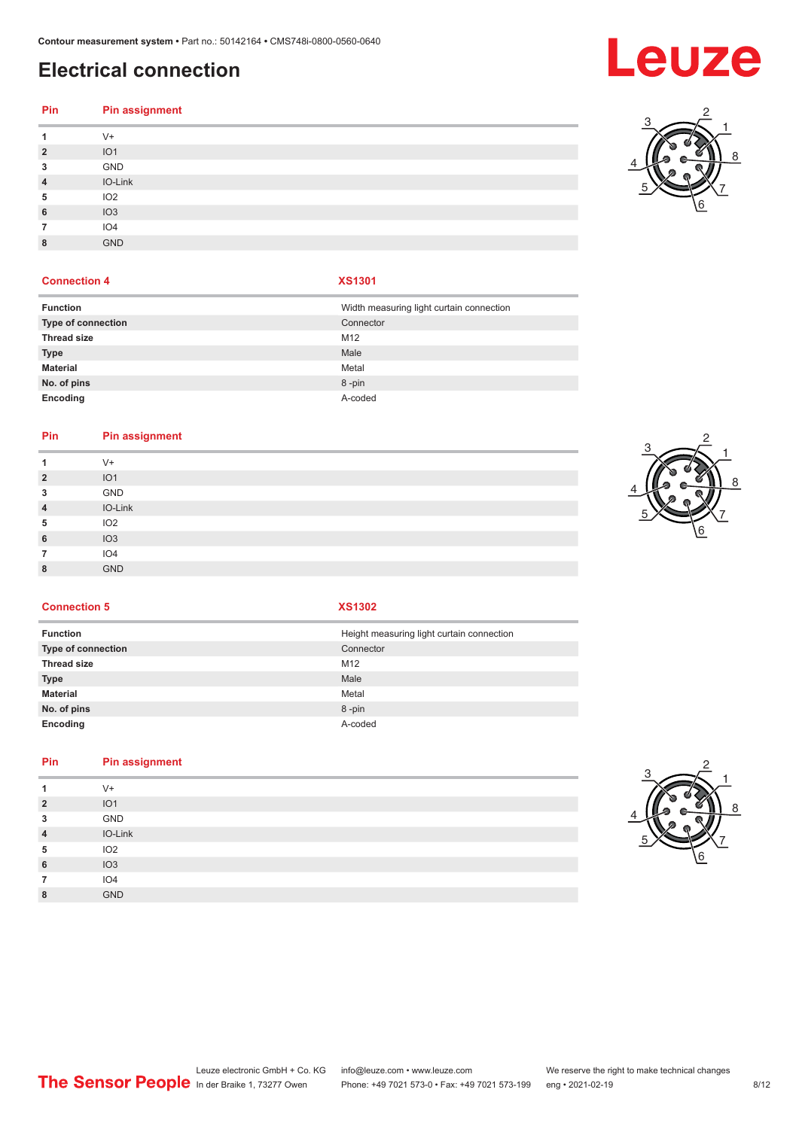# **Electrical connection**

# **Pin Pin assignment**

| 1              | $V +$           |
|----------------|-----------------|
| $\overline{2}$ | IO <sub>1</sub> |
| 3              | GND             |
| $\overline{4}$ | IO-Link         |
| 5              | IO <sub>2</sub> |
| 6              | IO3             |
| 7              | IO <sub>4</sub> |
| 8              | <b>GND</b>      |
|                |                 |

### **Connection 4 XS1301**

| <b>Function</b>    | Width measuring light curtain connection |
|--------------------|------------------------------------------|
| Type of connection | Connector                                |
| <b>Thread size</b> | M <sub>12</sub>                          |
| <b>Type</b>        | Male                                     |
| <b>Material</b>    | Metal                                    |
| No. of pins        | 8-pin                                    |
| Encoding           | A-coded                                  |

### **Pin Pin assignment**

| V+<br>IO <sub>1</sub><br>$\overline{2}$<br>GND<br>3<br>IO-Link<br>$\overline{4}$ |
|----------------------------------------------------------------------------------|
|                                                                                  |
|                                                                                  |
|                                                                                  |
|                                                                                  |
| IO <sub>2</sub><br>5                                                             |
| IO3<br>6                                                                         |
| IO4<br>7                                                                         |
| <b>GND</b><br>8                                                                  |



**Connection 5 XS1302**

| <b>Function</b>    | Height measuring light curtain connection |
|--------------------|-------------------------------------------|
| Type of connection | Connector                                 |
| <b>Thread size</b> | M12                                       |
| <b>Type</b>        | Male                                      |
| <b>Material</b>    | Metal                                     |
| No. of pins        | 8-pin                                     |
| Encoding           | A-coded                                   |

### **Pin Pin assignment**

|                | $V +$           |
|----------------|-----------------|
| $\overline{2}$ | IO <sub>1</sub> |
| 3              | GND             |
| $\overline{4}$ | IO-Link         |
| 5              | IO2             |
| 6              | IO3             |
| 7              | IO4             |
| 8              | <b>GND</b>      |
|                |                 |





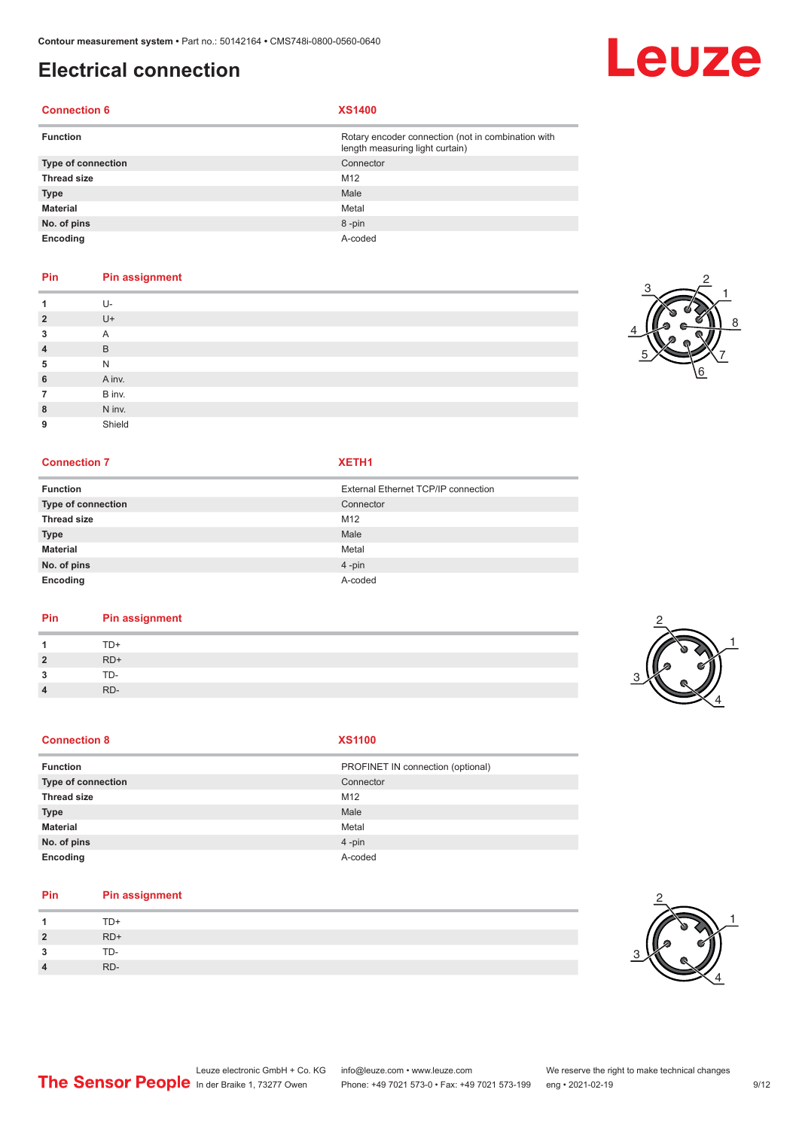# **Electrical connection**

### **Connection 6 XS1400**

| <b>Function</b>    | Rotary encoder connection (not in combination with<br>length measuring light curtain) |
|--------------------|---------------------------------------------------------------------------------------|
| Type of connection | Connector                                                                             |
| <b>Thread size</b> | M <sub>12</sub>                                                                       |
| <b>Type</b>        | Male                                                                                  |
| <b>Material</b>    | Metal                                                                                 |
| No. of pins        | 8-pin                                                                                 |
| Encoding           | A-coded                                                                               |

### **Pin Pin assignment**

|                | U-     |
|----------------|--------|
| $\overline{2}$ | U+     |
| 3              | A      |
| $\overline{4}$ | B      |
| 5              | N      |
| 6              | A inv. |
| 7              | B inv. |
| 8              | N inv. |
| 9              | Shield |

### **Connection 7 XETH1**

| <b>Function</b>    | External Ethernet TCP/IP connection |
|--------------------|-------------------------------------|
| Type of connection | Connector                           |
| <b>Thread size</b> | M12                                 |
| <b>Type</b>        | Male                                |
| <b>Material</b>    | Metal                               |
| No. of pins        | $4$ -pin                            |
| Encoding           | A-coded                             |

### **Pin Pin assignment**

| Pin            | <b>Pin assignment</b> |   |
|----------------|-----------------------|---|
|                | TD+                   |   |
| $\overline{2}$ | $RD+$                 | a |
| 3              | TD-                   |   |
| $\overline{4}$ | RD-                   |   |

### **Connection 8**

| w |  |
|---|--|

| Function           | PROFINET IN connection (optional) |
|--------------------|-----------------------------------|
| Type of connection | Connector                         |
| <b>Thread size</b> | M12                               |
| <b>Type</b>        | Male                              |
| Material           | Metal                             |
| No. of pins        | $4 - pin$                         |
| Encoding           | A-coded                           |

### **Pin Pin assignment**

|                | TD+ |
|----------------|-----|
| $\overline{2}$ | RD+ |
| ີ              | TD- |
| $\Lambda$      | RD- |



1



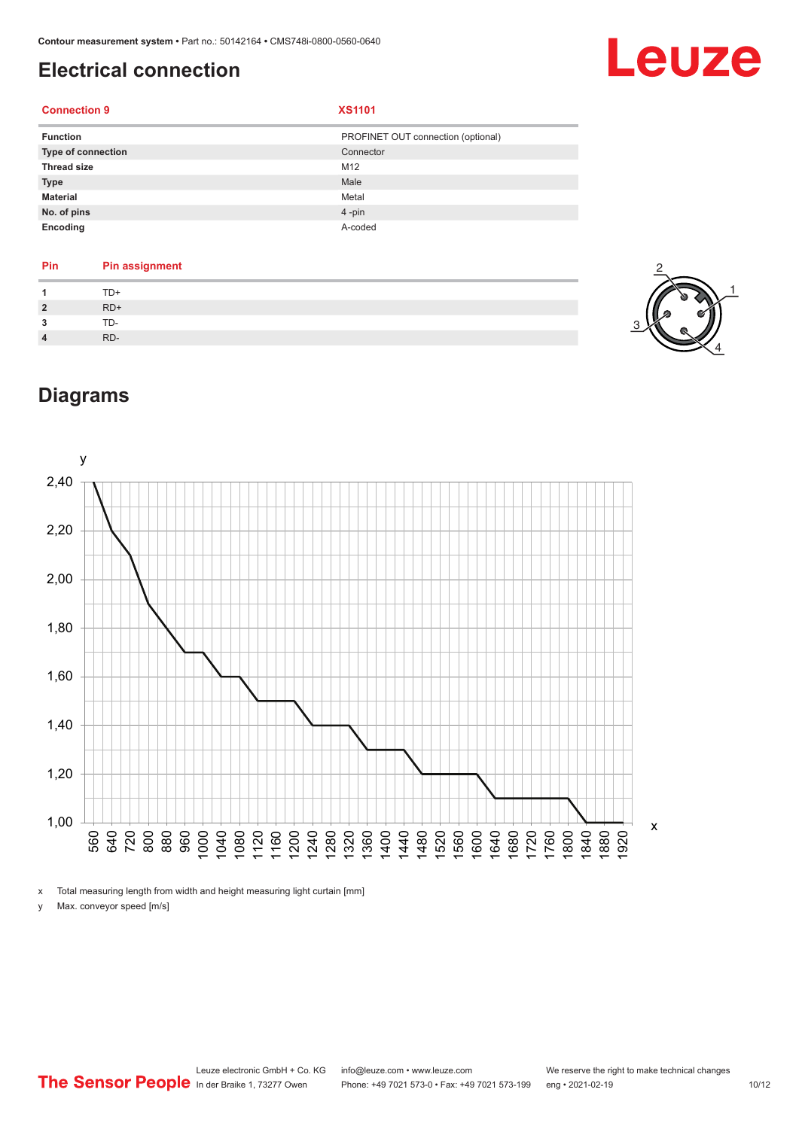# <span id="page-9-0"></span>**Electrical connection**

# Leuze

### **Connection 9 XS1101**

| <b>Function</b>           | PROFINET OUT connection (optional) |
|---------------------------|------------------------------------|
| <b>Type of connection</b> | Connector                          |
| <b>Thread size</b>        | M12                                |
| <b>Type</b>               | Male                               |
| <b>Material</b>           | Metal                              |
| No. of pins               | $4$ -pin                           |
| Encoding                  | A-coded                            |

| Pin          | <b>Pin assignment</b> |
|--------------|-----------------------|
|              | TD+                   |
| $\mathbf{2}$ | $RD+$                 |
| 2            | TD-                   |
|              | RD-                   |



# **Diagrams**



x Total measuring length from width and height measuring light curtain [mm]

y Max. conveyor speed [m/s]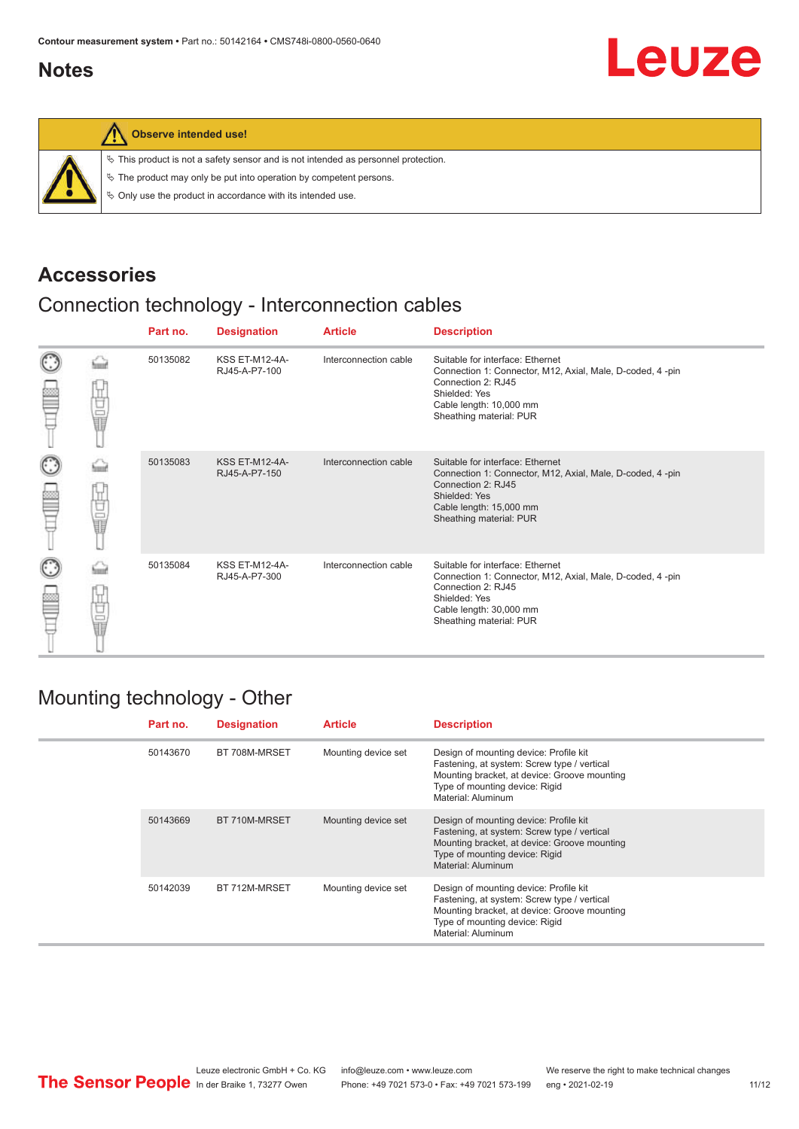## <span id="page-10-0"></span>**Notes**



### **Observe intended use!**

|  |  |  |  |  |  |  |  |  |  | $\%$ This product is not a safety sensor and is not intended as personnel protection. |  |
|--|--|--|--|--|--|--|--|--|--|---------------------------------------------------------------------------------------|--|
|--|--|--|--|--|--|--|--|--|--|---------------------------------------------------------------------------------------|--|

 $\%$  The product may only be put into operation by competent persons.

 $\%$  Only use the product in accordance with its intended use.

### **Accessories**

# Connection technology - Interconnection cables

|                    |        | Part no. | <b>Designation</b>                     | <b>Article</b>        | <b>Description</b>                                                                                                                                                                         |
|--------------------|--------|----------|----------------------------------------|-----------------------|--------------------------------------------------------------------------------------------------------------------------------------------------------------------------------------------|
| $_{\odot}$<br>≌    | Ü<br>Ū | 50135082 | <b>KSS ET-M12-4A-</b><br>RJ45-A-P7-100 | Interconnection cable | Suitable for interface: Ethernet<br>Connection 1: Connector, M12, Axial, Male, D-coded, 4-pin<br>Connection 2: RJ45<br>Shielded: Yes<br>Cable length: 10,000 mm<br>Sheathing material: PUR |
| $_{\bigodot}$<br>≌ | 甘山     | 50135083 | <b>KSS ET-M12-4A-</b><br>RJ45-A-P7-150 | Interconnection cable | Suitable for interface: Ethernet<br>Connection 1: Connector, M12, Axial, Male, D-coded, 4-pin<br>Connection 2: RJ45<br>Shielded: Yes<br>Cable length: 15,000 mm<br>Sheathing material: PUR |
| $_{\odot}$<br>≝    | 甘量     | 50135084 | <b>KSS ET-M12-4A-</b><br>RJ45-A-P7-300 | Interconnection cable | Suitable for interface: Ethernet<br>Connection 1: Connector, M12, Axial, Male, D-coded, 4-pin<br>Connection 2: RJ45<br>Shielded: Yes<br>Cable length: 30,000 mm<br>Sheathing material: PUR |

### Mounting technology - Other

|  | Part no. | <b>Designation</b> | <b>Article</b>      | <b>Description</b>                                                                                                                                                                            |
|--|----------|--------------------|---------------------|-----------------------------------------------------------------------------------------------------------------------------------------------------------------------------------------------|
|  | 50143670 | BT 708M-MRSET      | Mounting device set | Design of mounting device: Profile kit<br>Fastening, at system: Screw type / vertical<br>Mounting bracket, at device: Groove mounting<br>Type of mounting device: Rigid<br>Material: Aluminum |
|  | 50143669 | BT 710M-MRSET      | Mounting device set | Design of mounting device: Profile kit<br>Fastening, at system: Screw type / vertical<br>Mounting bracket, at device: Groove mounting<br>Type of mounting device: Rigid<br>Material: Aluminum |
|  | 50142039 | BT 712M-MRSET      | Mounting device set | Design of mounting device: Profile kit<br>Fastening, at system: Screw type / vertical<br>Mounting bracket, at device: Groove mounting<br>Type of mounting device: Rigid<br>Material: Aluminum |